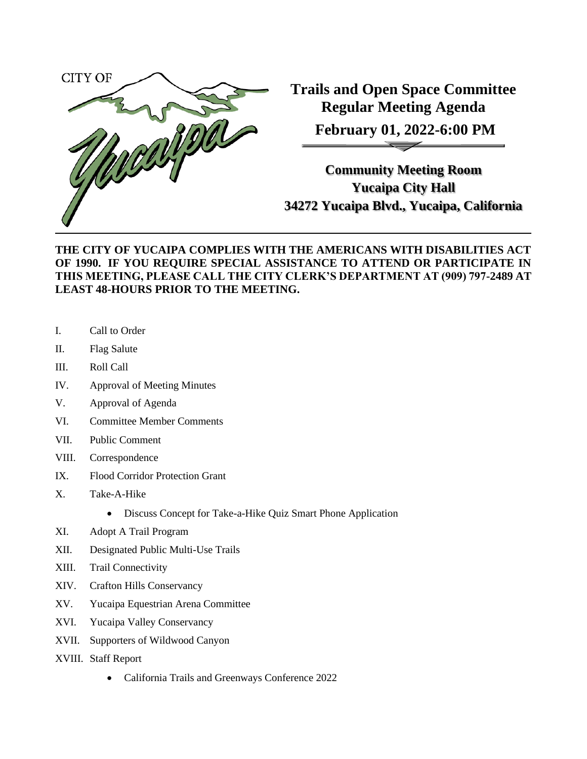

**Trails and Open Space Committee Regular Meeting Agenda February 01, 2022-6:00 PM**

**Community Meeting Room Yucaipa City Hall 34272 Yucaipa Blvd., Yucaipa, California**

## **THE CITY OF YUCAIPA COMPLIES WITH THE AMERICANS WITH DISABILITIES ACT OF 1990. IF YOU REQUIRE SPECIAL ASSISTANCE TO ATTEND OR PARTICIPATE IN THIS MEETING, PLEASE CALL THE CITY CLERK'S DEPARTMENT AT (909) 797-2489 AT LEAST 48-HOURS PRIOR TO THE MEETING.**

- I. Call to Order
- II. Flag Salute
- III. Roll Call
- IV. Approval of Meeting Minutes
- V. Approval of Agenda
- VI. Committee Member Comments
- VII. Public Comment
- VIII. Correspondence
- IX. Flood Corridor Protection Grant
- X. Take-A-Hike
	- Discuss Concept for Take-a-Hike Quiz Smart Phone Application
- XI. Adopt A Trail Program
- XII. Designated Public Multi-Use Trails
- XIII. Trail Connectivity
- XIV. Crafton Hills Conservancy
- XV. Yucaipa Equestrian Arena Committee
- XVI. Yucaipa Valley Conservancy
- XVII. Supporters of Wildwood Canyon
- XVIII. Staff Report
	- California Trails and Greenways Conference 2022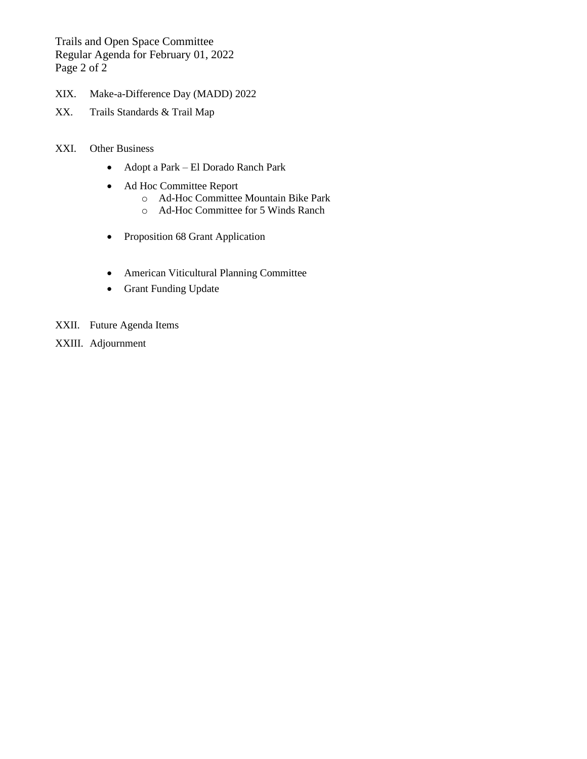Trails and Open Space Committee Regular Agenda for February 01, 2022 Page 2 of 2

- XIX. Make-a-Difference Day (MADD) 2022
- XX. Trails Standards & Trail Map

## XXI. Other Business

- Adopt a Park El Dorado Ranch Park
- Ad Hoc Committee Report
	- o Ad-Hoc Committee Mountain Bike Park
	- o Ad-Hoc Committee for 5 Winds Ranch
- Proposition 68 Grant Application
- American Viticultural Planning Committee
- Grant Funding Update
- XXII. Future Agenda Items
- XXIII. Adjournment